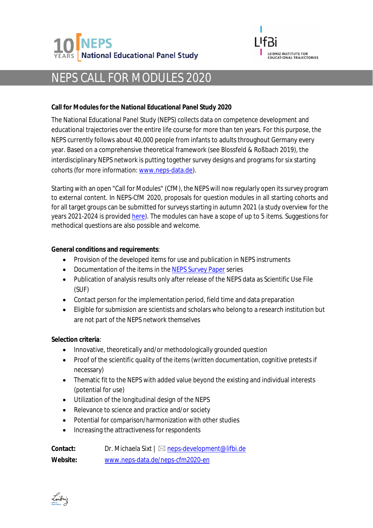



## NEPS CALL FOR MODULES 2020

**Call for Modules for the National Educational Panel Study 2020**

The National Educational Panel Study (NEPS) collects data on competence development and educational trajectories over the entire life course for more than ten years. For this purpose, the NEPS currently follows about 40,000 people from infants to adults throughout Germany every year. Based on a comprehensive theoretical framework (see Blossfeld & Roßbach 2019), the interdisciplinary NEPS network is putting together survey designs and programs for six starting cohorts (for more information: [www.neps-data.de\)](https://www.neps-data.de/Project-Overview).

Starting with an open "Call for Modules" (CfM), the NEPS will now regularly open its survey program to external content. In NEPS-CfM 2020, proposals for question modules in all starting cohorts and for all target groups can be submitted for surveys starting in autumn 2021 (a study overview for the years 2021-2024 is provided [here\)](https://www.neps-data.de/neps-cfm2020-en/Study-Overview). The modules can have a scope of up to 5 items. Suggestions for methodical questions are also possible and welcome.

**General conditions and requirements**:

- · Provision of the developed items for use and publication in NEPS instruments
- · Documentation of the items in the [NEPS Survey Paper](https://www.neps-data.de/Project-Overview/Publications/NEPS-Survey-Papers-en-US) series
- · Publication of analysis results only after release of the NEPS data as Scientific Use File (SUF)
- · Contact person for the implementation period, field time and data preparation
- · Eligible for submission are scientists and scholars who belong to a research institution but are not part of the NEPS network themselves

**Selection criteria**:

- · Innovative, theoretically and/or methodologically grounded question
- · Proof of the scientific quality of the items (written documentation, cognitive pretests if necessary)
- · Thematic fit to the NEPS with added value beyond the existing and individual interests (potential for use)
- · Utilization of the longitudinal design of the NEPS
- Relevance to science and practice and/or society
- Potential for comparison/harmonization with other studies
- · Increasing the attractiveness for respondents

| Contact: |                                  | Dr. Michaela Sixt   ⊠ neps-development@lifbi.de |
|----------|----------------------------------|-------------------------------------------------|
| Website: | www.neps-data.de/neps-cfm2020-en |                                                 |